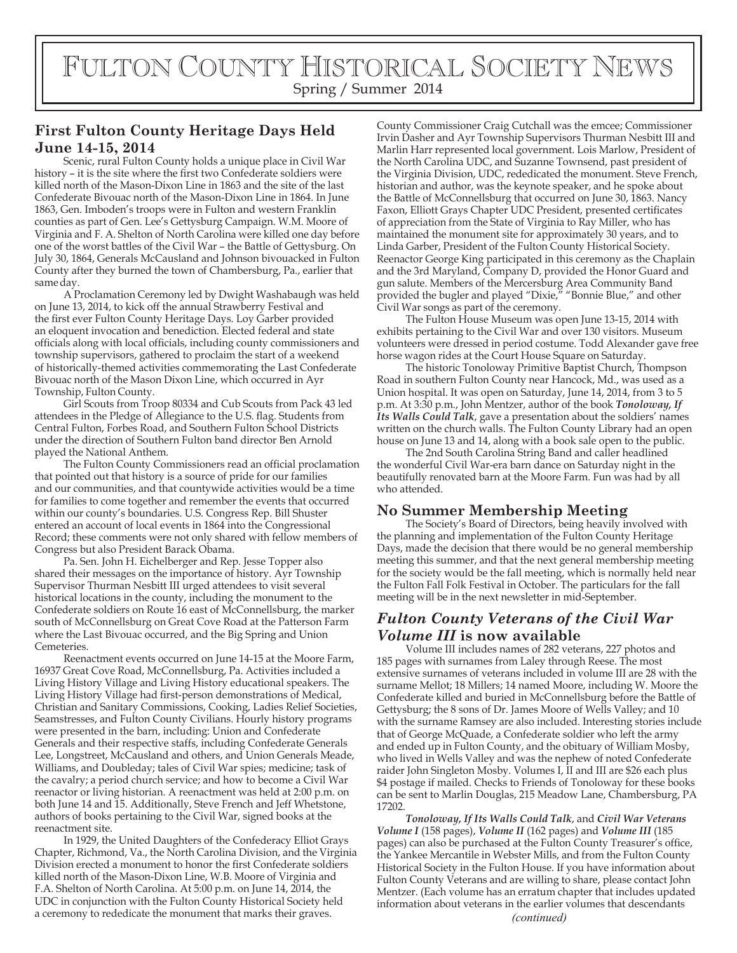# FULTON COUNTY HISTORICAL SOCIETY NEWS Spring / Summer 2014

## **First Fulton County Heritage Days Held June 14-15, 2014**

Scenic, rural Fulton County holds a unique place in Civil War history - it is the site where the first two Confederate soldiers were killed north of the Mason-Dixon Line in 1863 and the site of the last Confederate Bivouac north of the Mason-Dixon Line in 1864. In June 1863, Gen. Imboden's troops were in Fulton and western Franklin counties as part of Gen. Lee's Gettysburg Campaign. W.M. Moore of Virginia and F. A. Shelton of North Carolina were killed one day before one of the worst battles of the Civil War – the Battle of Gettysburg. On July 30, 1864, Generals McCausland and Johnson bivouacked in Fulton County after they burned the town of Chambersburg, Pa., earlier that same day.

A Proclamation Ceremony led by Dwight Washabaugh was held on June 13, 2014, to kick off the annual Strawberry Festival and the first ever Fulton County Heritage Days. Loy Garber provided an eloquent invocation and benediction. Elected federal and state officials along with local officials, including county commissioners and township supervisors, gathered to proclaim the start of a weekend of historically-themed activities commemorating the Last Confederate Bivouac north of the Mason Dixon Line, which occurred in Ayr Township, Fulton County.

Girl Scouts from Troop 80334 and Cub Scouts from Pack 43 led attendees in the Pledge of Allegiance to the U.S. flag. Students from Central Fulton, Forbes Road, and Southern Fulton School Districts under the direction of Southern Fulton band director Ben Arnold played the National Anthem.

The Fulton County Commissioners read an official proclamation that pointed out that history is a source of pride for our families and our communities, and that countywide activities would be a time for families to come together and remember the events that occurred within our county's boundaries. U.S. Congress Rep. Bill Shuster entered an account of local events in 1864 into the Congressional Record; these comments were not only shared with fellow members of Congress but also President Barack Obama.

Pa. Sen. John H. Eichelberger and Rep. Jesse Topper also shared their messages on the importance of history. Ayr Township Supervisor Thurman Nesbitt III urged attendees to visit several historical locations in the county, including the monument to the Confederate soldiers on Route 16 east of McConnellsburg, the marker south of McConnellsburg on Great Cove Road at the Patterson Farm where the Last Bivouac occurred, and the Big Spring and Union Cemeteries.

Reenactment events occurred on June 14-15 at the Moore Farm, 16937 Great Cove Road, McConnellsburg, Pa. Activities included a Living History Village and Living History educational speakers. The Living History Village had first-person demonstrations of Medical, Christian and Sanitary Commissions, Cooking, Ladies Relief Societies, Seamstresses, and Fulton County Civilians. Hourly history programs were presented in the barn, including: Union and Confederate Generals and their respective staffs, including Confederate Generals Lee, Longstreet, McCausland and others, and Union Generals Meade, Williams, and Doubleday; tales of Civil War spies; medicine; task of the cavalry; a period church service; and how to become a Civil War reenactor or living historian. A reenactment was held at 2:00 p.m. on both June 14 and 15. Additionally, Steve French and Jeff Whetstone, authors of books pertaining to the Civil War, signed books at the reenactment site.

In 1929, the United Daughters of the Confederacy Elliot Grays Chapter, Richmond, Va., the North Carolina Division, and the Virginia Division erected a monument to honor the first Confederate soldiers killed north of the Mason-Dixon Line, W.B. Moore of Virginia and F.A. Shelton of North Carolina. At 5:00 p.m. on June 14, 2014, the UDC in conjunction with the Fulton County Historical Society held a ceremony to rededicate the monument that marks their graves. *(continued)*

County Commissioner Craig Cutchall was the emcee; Commissioner Irvin Dasher and Ayr Township Supervisors Thurman Nesbitt III and Marlin Harr represented local government. Lois Marlow, President of the North Carolina UDC, and Suzanne Townsend, past president of the Virginia Division, UDC, rededicated the monument. Steve French, historian and author, was the keynote speaker, and he spoke about the Battle of McConnellsburg that occurred on June 30, 1863. Nancy Faxon, Elliott Grays Chapter UDC President, presented certificates of appreciation from the State of Virginia to Ray Miller, who has maintained the monument site for approximately 30 years, and to Linda Garber, President of the Fulton County Historical Society. Reenactor George King participated in this ceremony as the Chaplain and the 3rd Maryland, Company D, provided the Honor Guard and gun salute. Members of the Mercersburg Area Community Band provided the bugler and played "Dixie," "Bonnie Blue," and other Civil War songs as part of the ceremony.

The Fulton House Museum was open June 13-15, 2014 with exhibits pertaining to the Civil War and over 130 visitors. Museum volunteers were dressed in period costume. Todd Alexander gave free horse wagon rides at the Court House Square on Saturday.

The historic Tonoloway Primitive Baptist Church, Thompson Road in southern Fulton County near Hancock, Md., was used as a Union hospital. It was open on Saturday, June 14, 2014, from 3 to 5 p.m. At 3:30 p.m., John Mentzer, author of the book *Tonoloway, If Its Walls Could Talk*, gave a presentation about the soldiers' names written on the church walls. The Fulton County Library had an open house on June 13 and 14, along with a book sale open to the public.

The 2nd South Carolina String Band and caller headlined the wonderful Civil War-era barn dance on Saturday night in the beautifully renovated barn at the Moore Farm. Fun was had by all who attended.

#### **No Summer Membership Meeting**

The Society's Board of Directors, being heavily involved with the planning and implementation of the Fulton County Heritage Days, made the decision that there would be no general membership meeting this summer, and that the next general membership meeting for the society would be the fall meeting, which is normally held near the Fulton Fall Folk Festival in October. The particulars for the fall meeting will be in the next newsletter in mid-September.

# *Fulton County Veterans of the Civil War Volume III* **is now available**

Volume III includes names of 282 veterans, 227 photos and 185 pages with surnames from Laley through Reese. The most extensive surnames of veterans included in volume III are 28 with the surname Mellot; 18 Millers; 14 named Moore, including W. Moore the Confederate killed and buried in McConnellsburg before the Battle of Gettysburg; the 8 sons of Dr. James Moore of Wells Valley; and 10 with the surname Ramsey are also included. Interesting stories include that of George McQuade, a Confederate soldier who left the army and ended up in Fulton County, and the obituary of William Mosby, who lived in Wells Valley and was the nephew of noted Confederate raider John Singleton Mosby. Volumes I, II and III are \$26 each plus \$4 postage if mailed. Checks to Friends of Tonoloway for these books can be sent to Marlin Douglas, 215 Meadow Lane, Chambersburg, PA 17202.

*Tonoloway, If Its Walls Could Talk*, and *Civil War Veterans Volume I* (158 pages), *Volume II* (162 pages) and *Volume III* (185 pages) can also be purchased at the Fulton County Treasurer's office, the Yankee Mercantile in Webster Mills, and from the Fulton County Historical Society in the Fulton House. If you have information about Fulton County Veterans and are willing to share, please contact John Mentzer. (Each volume has an erratum chapter that includes updated information about veterans in the earlier volumes that descendants